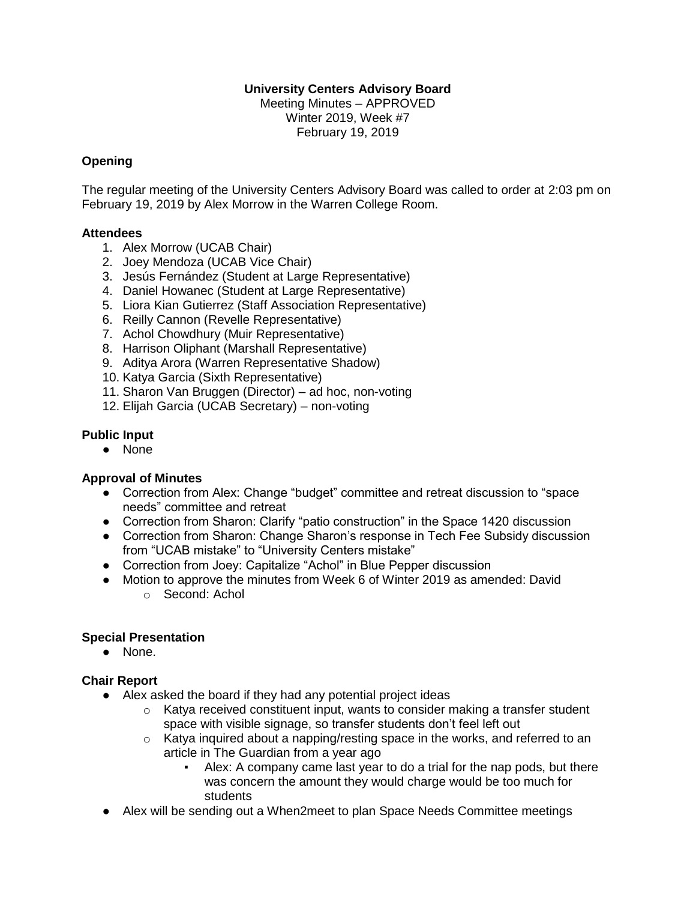# **University Centers Advisory Board**

Meeting Minutes – APPROVED Winter 2019, Week #7 February 19, 2019

### **Opening**

The regular meeting of the University Centers Advisory Board was called to order at 2:03 pm on February 19, 2019 by Alex Morrow in the Warren College Room.

#### **Attendees**

- 1. Alex Morrow (UCAB Chair)
- 2. Joey Mendoza (UCAB Vice Chair)
- 3. Jesús Fernández (Student at Large Representative)
- 4. Daniel Howanec (Student at Large Representative)
- 5. Liora Kian Gutierrez (Staff Association Representative)
- 6. Reilly Cannon (Revelle Representative)
- 7. Achol Chowdhury (Muir Representative)
- 8. Harrison Oliphant (Marshall Representative)
- 9. Aditya Arora (Warren Representative Shadow)
- 10. Katya Garcia (Sixth Representative)
- 11. Sharon Van Bruggen (Director) ad hoc, non-voting
- 12. Elijah Garcia (UCAB Secretary) non-voting

### **Public Input**

● None

### **Approval of Minutes**

- Correction from Alex: Change "budget" committee and retreat discussion to "space needs" committee and retreat
- Correction from Sharon: Clarify "patio construction" in the Space 1420 discussion
- Correction from Sharon: Change Sharon's response in Tech Fee Subsidy discussion from "UCAB mistake" to "University Centers mistake"
- Correction from Joey: Capitalize "Achol" in Blue Pepper discussion
- Motion to approve the minutes from Week 6 of Winter 2019 as amended: David o Second: Achol

### **Special Presentation**

● None.

### **Chair Report**

- Alex asked the board if they had any potential project ideas
	- $\circ$  Katya received constituent input, wants to consider making a transfer student space with visible signage, so transfer students don't feel left out
	- o Katya inquired about a napping/resting space in the works, and referred to an article in The Guardian from a year ago
		- Alex: A company came last year to do a trial for the nap pods, but there was concern the amount they would charge would be too much for students
- Alex will be sending out a When2meet to plan Space Needs Committee meetings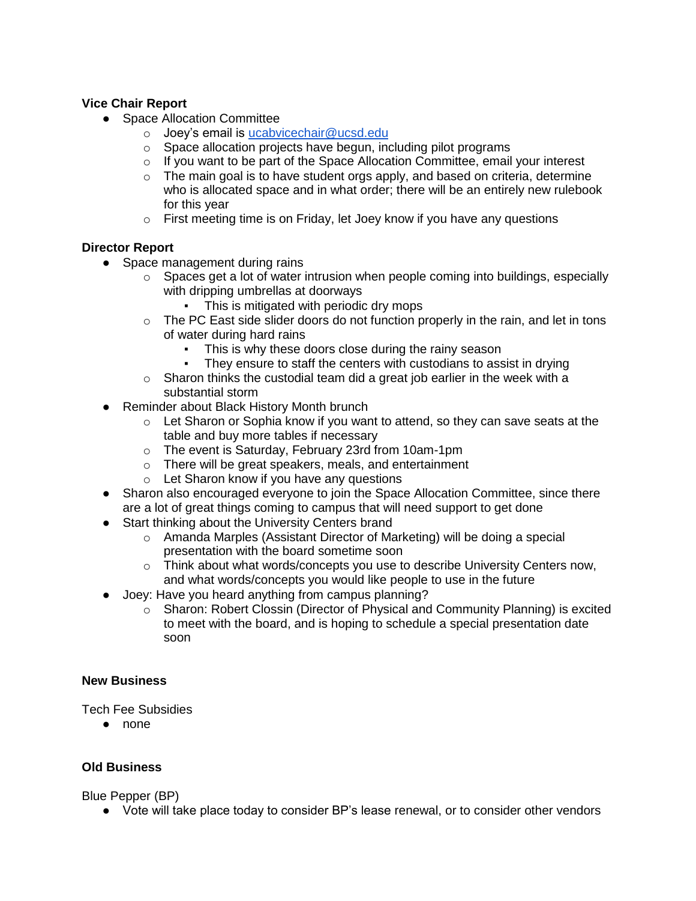# **Vice Chair Report**

- Space Allocation Committee
	- o Joey's email is [ucabvicechair@ucsd.edu](mailto:ucabvicechair@ucsd.edu)
	- o Space allocation projects have begun, including pilot programs
	- $\circ$  If you want to be part of the Space Allocation Committee, email your interest
	- $\circ$  The main goal is to have student orgs apply, and based on criteria, determine who is allocated space and in what order; there will be an entirely new rulebook for this year
	- o First meeting time is on Friday, let Joey know if you have any questions

# **Director Report**

- Space management during rains
	- $\circ$  Spaces get a lot of water intrusion when people coming into buildings, especially with dripping umbrellas at doorways
		- This is mitigated with periodic dry mops
	- o The PC East side slider doors do not function properly in the rain, and let in tons of water during hard rains
		- **•** This is why these doors close during the rainy season
		- They ensure to staff the centers with custodians to assist in drying
	- $\circ$  Sharon thinks the custodial team did a great job earlier in the week with a substantial storm
- Reminder about Black History Month brunch
	- $\circ$  Let Sharon or Sophia know if you want to attend, so they can save seats at the table and buy more tables if necessary
	- o The event is Saturday, February 23rd from 10am-1pm
	- o There will be great speakers, meals, and entertainment
	- o Let Sharon know if you have any questions
- Sharon also encouraged everyone to join the Space Allocation Committee, since there are a lot of great things coming to campus that will need support to get done
- Start thinking about the University Centers brand
	- o Amanda Marples (Assistant Director of Marketing) will be doing a special presentation with the board sometime soon
	- $\circ$  Think about what words/concepts you use to describe University Centers now, and what words/concepts you would like people to use in the future
- Joey: Have you heard anything from campus planning?
	- o Sharon: Robert Clossin (Director of Physical and Community Planning) is excited to meet with the board, and is hoping to schedule a special presentation date soon

### **New Business**

Tech Fee Subsidies

● none

### **Old Business**

Blue Pepper (BP)

● Vote will take place today to consider BP's lease renewal, or to consider other vendors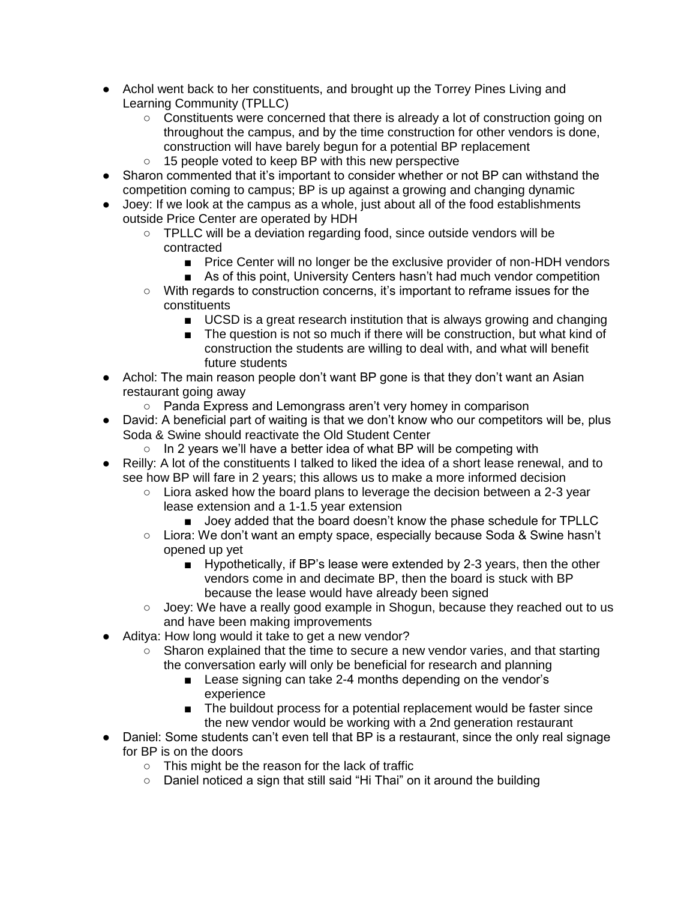- Achol went back to her constituents, and brought up the Torrey Pines Living and Learning Community (TPLLC)
	- Constituents were concerned that there is already a lot of construction going on throughout the campus, and by the time construction for other vendors is done, construction will have barely begun for a potential BP replacement
	- 15 people voted to keep BP with this new perspective
- Sharon commented that it's important to consider whether or not BP can withstand the competition coming to campus; BP is up against a growing and changing dynamic
- Joey: If we look at the campus as a whole, just about all of the food establishments outside Price Center are operated by HDH
	- TPLLC will be a deviation regarding food, since outside vendors will be contracted
		- Price Center will no longer be the exclusive provider of non-HDH vendors
		- As of this point, University Centers hasn't had much vendor competition
	- With regards to construction concerns, it's important to reframe issues for the constituents
		- UCSD is a great research institution that is always growing and changing
		- The question is not so much if there will be construction, but what kind of construction the students are willing to deal with, and what will benefit future students
- Achol: The main reason people don't want BP gone is that they don't want an Asian restaurant going away
	- Panda Express and Lemongrass aren't very homey in comparison
- David: A beneficial part of waiting is that we don't know who our competitors will be, plus Soda & Swine should reactivate the Old Student Center
	- In 2 years we'll have a better idea of what BP will be competing with
- Reilly: A lot of the constituents I talked to liked the idea of a short lease renewal, and to see how BP will fare in 2 years; this allows us to make a more informed decision
	- Liora asked how the board plans to leverage the decision between a 2-3 year lease extension and a 1-1.5 year extension
		- Joey added that the board doesn't know the phase schedule for TPLLC
	- Liora: We don't want an empty space, especially because Soda & Swine hasn't opened up yet
		- Hypothetically, if BP's lease were extended by 2-3 years, then the other vendors come in and decimate BP, then the board is stuck with BP because the lease would have already been signed
	- Joey: We have a really good example in Shogun, because they reached out to us and have been making improvements
- Aditya: How long would it take to get a new vendor?
	- Sharon explained that the time to secure a new vendor varies, and that starting the conversation early will only be beneficial for research and planning
		- Lease signing can take 2-4 months depending on the vendor's experience
		- The buildout process for a potential replacement would be faster since the new vendor would be working with a 2nd generation restaurant
- Daniel: Some students can't even tell that BP is a restaurant, since the only real signage for BP is on the doors
	- This might be the reason for the lack of traffic
	- Daniel noticed a sign that still said "Hi Thai" on it around the building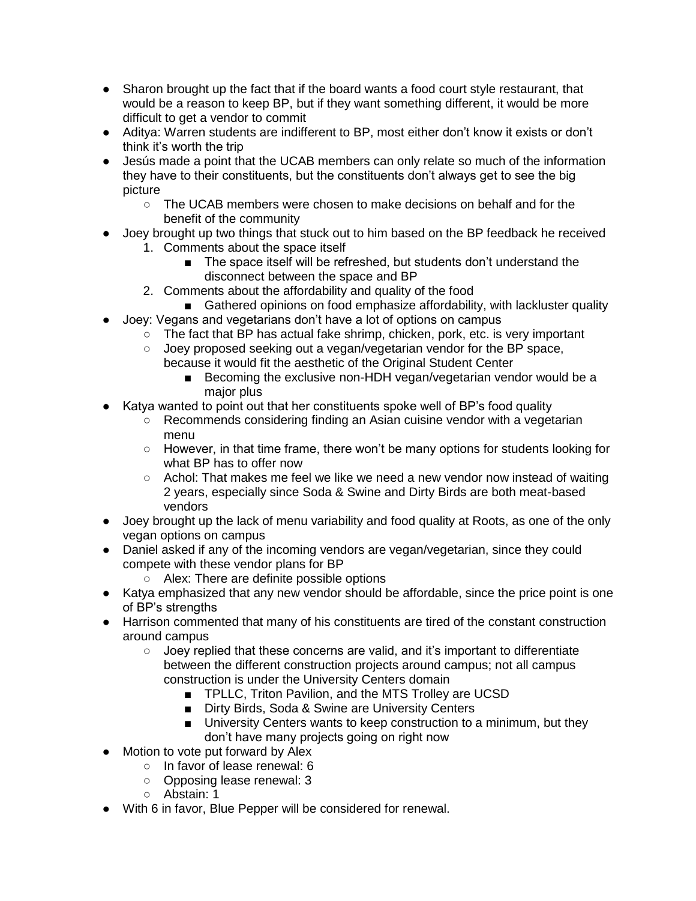- Sharon brought up the fact that if the board wants a food court style restaurant, that would be a reason to keep BP, but if they want something different, it would be more difficult to get a vendor to commit
- Aditya: Warren students are indifferent to BP, most either don't know it exists or don't think it's worth the trip
- Jesús made a point that the UCAB members can only relate so much of the information they have to their constituents, but the constituents don't always get to see the big picture
	- The UCAB members were chosen to make decisions on behalf and for the benefit of the community
- Joey brought up two things that stuck out to him based on the BP feedback he received
	- 1. Comments about the space itself
		- The space itself will be refreshed, but students don't understand the disconnect between the space and BP
	- 2. Comments about the affordability and quality of the food
		- Gathered opinions on food emphasize affordability, with lackluster quality
- Joey: Vegans and vegetarians don't have a lot of options on campus
	- The fact that BP has actual fake shrimp, chicken, pork, etc. is very important
	- Joey proposed seeking out a vegan/vegetarian vendor for the BP space, because it would fit the aesthetic of the Original Student Center
		- Becoming the exclusive non-HDH vegan/vegetarian vendor would be a major plus
- Katya wanted to point out that her constituents spoke well of BP's food quality
	- $\circ$  Recommends considering finding an Asian cuisine vendor with a vegetarian menu
	- $\circ$  However, in that time frame, there won't be many options for students looking for what BP has to offer now
	- Achol: That makes me feel we like we need a new vendor now instead of waiting 2 years, especially since Soda & Swine and Dirty Birds are both meat-based vendors
- Joey brought up the lack of menu variability and food quality at Roots, as one of the only vegan options on campus
- Daniel asked if any of the incoming vendors are vegan/vegetarian, since they could compete with these vendor plans for BP
	- Alex: There are definite possible options
- Katya emphasized that any new vendor should be affordable, since the price point is one of BP's strengths
- Harrison commented that many of his constituents are tired of the constant construction around campus
	- Joey replied that these concerns are valid, and it's important to differentiate between the different construction projects around campus; not all campus construction is under the University Centers domain
		- TPLLC, Triton Pavilion, and the MTS Trolley are UCSD
		- Dirty Birds, Soda & Swine are University Centers
		- University Centers wants to keep construction to a minimum, but they don't have many projects going on right now
- Motion to vote put forward by Alex
	- In favor of lease renewal: 6
	- Opposing lease renewal: 3
	- Abstain: 1
- With 6 in favor, Blue Pepper will be considered for renewal.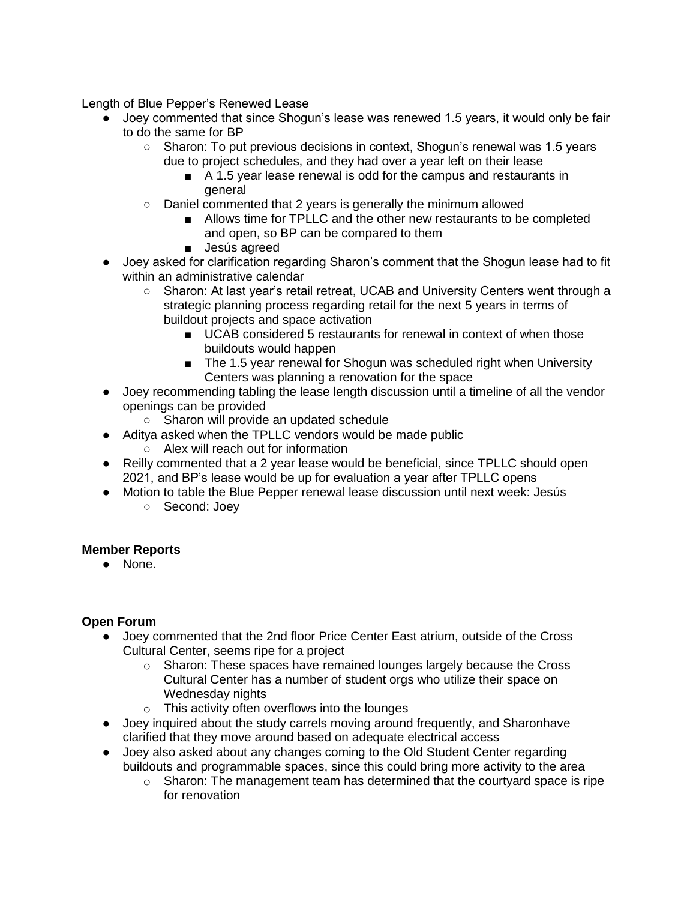Length of Blue Pepper's Renewed Lease

- Joey commented that since Shogun's lease was renewed 1.5 years, it would only be fair to do the same for BP
	- Sharon: To put previous decisions in context, Shogun's renewal was 1.5 years due to project schedules, and they had over a year left on their lease
		- A 1.5 year lease renewal is odd for the campus and restaurants in general
	- Daniel commented that 2 years is generally the minimum allowed
		- Allows time for TPLLC and the other new restaurants to be completed and open, so BP can be compared to them
		- Jesús agreed
- Joey asked for clarification regarding Sharon's comment that the Shogun lease had to fit within an administrative calendar
	- Sharon: At last year's retail retreat, UCAB and University Centers went through a strategic planning process regarding retail for the next 5 years in terms of buildout projects and space activation
		- UCAB considered 5 restaurants for renewal in context of when those buildouts would happen
		- The 1.5 year renewal for Shogun was scheduled right when University Centers was planning a renovation for the space
- Joey recommending tabling the lease length discussion until a timeline of all the vendor openings can be provided
	- Sharon will provide an updated schedule
- Aditya asked when the TPLLC vendors would be made public
	- Alex will reach out for information
- Reilly commented that a 2 year lease would be beneficial, since TPLLC should open 2021, and BP's lease would be up for evaluation a year after TPLLC opens
- Motion to table the Blue Pepper renewal lease discussion until next week: Jesús
	- Second: Joey

### **Member Reports**

● None.

### **Open Forum**

- Joey commented that the 2nd floor Price Center East atrium, outside of the Cross Cultural Center, seems ripe for a project
	- $\circ$  Sharon: These spaces have remained lounges largely because the Cross Cultural Center has a number of student orgs who utilize their space on Wednesday nights
	- o This activity often overflows into the lounges
- Joey inquired about the study carrels moving around frequently, and Sharonhave clarified that they move around based on adequate electrical access
- Joey also asked about any changes coming to the Old Student Center regarding buildouts and programmable spaces, since this could bring more activity to the area
	- $\circ$  Sharon: The management team has determined that the courtyard space is ripe for renovation